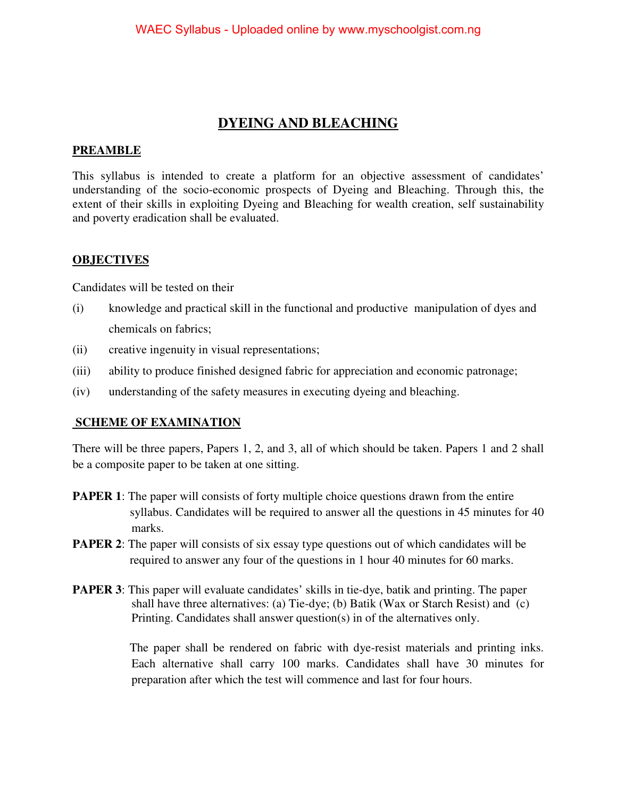# **DYEING AND BLEACHING**

#### **PREAMBLE**

This syllabus is intended to create a platform for an objective assessment of candidates' understanding of the socio-economic prospects of Dyeing and Bleaching. Through this, the extent of their skills in exploiting Dyeing and Bleaching for wealth creation, self sustainability and poverty eradication shall be evaluated.

#### **OBJECTIVES**

Candidates will be tested on their

- (i) knowledge and practical skill in the functional and productive manipulation of dyes and chemicals on fabrics;
- (ii) creative ingenuity in visual representations;
- (iii) ability to produce finished designed fabric for appreciation and economic patronage;
- (iv) understanding of the safety measures in executing dyeing and bleaching.

#### **SCHEME OF EXAMINATION**

There will be three papers, Papers 1, 2, and 3, all of which should be taken. Papers 1 and 2 shall be a composite paper to be taken at one sitting.

- **PAPER 1**: The paper will consists of forty multiple choice questions drawn from the entire syllabus. Candidates will be required to answer all the questions in 45 minutes for 40 marks.
- **PAPER 2:** The paper will consists of six essay type questions out of which candidates will be required to answer any four of the questions in 1 hour 40 minutes for 60 marks.
- **PAPER 3**: This paper will evaluate candidates' skills in tie-dye, batik and printing. The paper shall have three alternatives: (a) Tie-dye; (b) Batik (Wax or Starch Resist) and (c) Printing. Candidates shall answer question(s) in of the alternatives only.

 The paper shall be rendered on fabric with dye-resist materials and printing inks. Each alternative shall carry 100 marks. Candidates shall have 30 minutes for preparation after which the test will commence and last for four hours.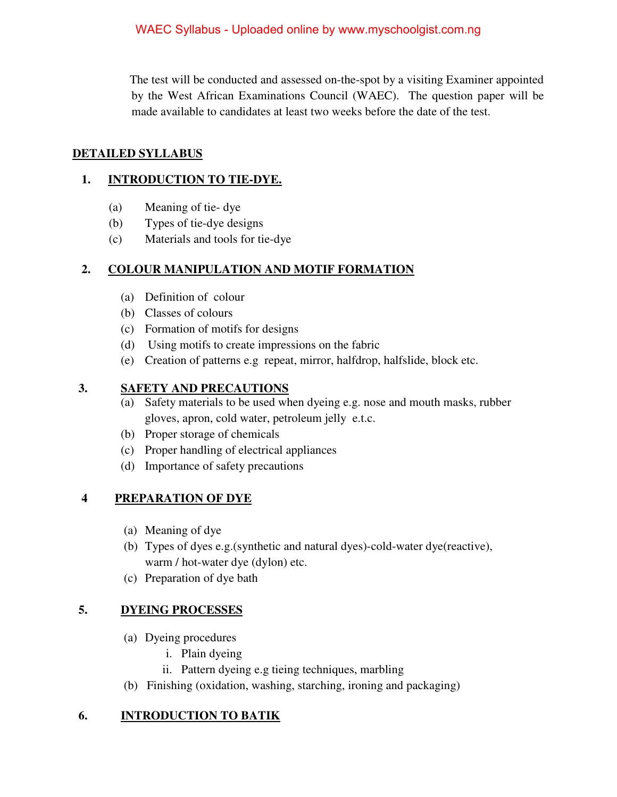The test will be conducted and assessed on-the-spot by a visiting Examiner appointed by the West African Examinations Council (WAEC). The question paper will be made available to candidates at least two weeks before the date of the test.

#### **DETAILED SYLLABUS**

#### **1. INTRODUCTION TO TIE-DYE.**

- (a) Meaning of tie- dye
- (b) Types of tie-dye designs
- (c) Materials and tools for tie-dye

### **2. COLOUR MANIPULATION AND MOTIF FORMATION**

- (a) Definition of colour
- (b) Classes of colours
- (c) Formation of motifs for designs
- (d) Using motifs to create impressions on the fabric
- (e) Creation of patterns e.g repeat, mirror, halfdrop, halfslide, block etc.

#### **3. SAFETY AND PRECAUTIONS**

- (a) Safety materials to be used when dyeing e.g. nose and mouth masks, rubber gloves, apron, cold water, petroleum jelly e.t.c.
- (b) Proper storage of chemicals
- (c) Proper handling of electrical appliances
- (d) Importance of safety precautions

### **4 PREPARATION OF DYE**

- (a) Meaning of dye
- (b) Types of dyes e.g.(synthetic and natural dyes)-cold-water dye(reactive), warm / hot-water dye (dylon) etc.
- (c) Preparation of dye bath

### **5. DYEING PROCESSES**

- (a) Dyeing procedures
	- i. Plain dyeing
	- ii. Pattern dyeing e.g tieing techniques, marbling
- (b) Finishing (oxidation, washing, starching, ironing and packaging)

### **6. INTRODUCTION TO BATIK**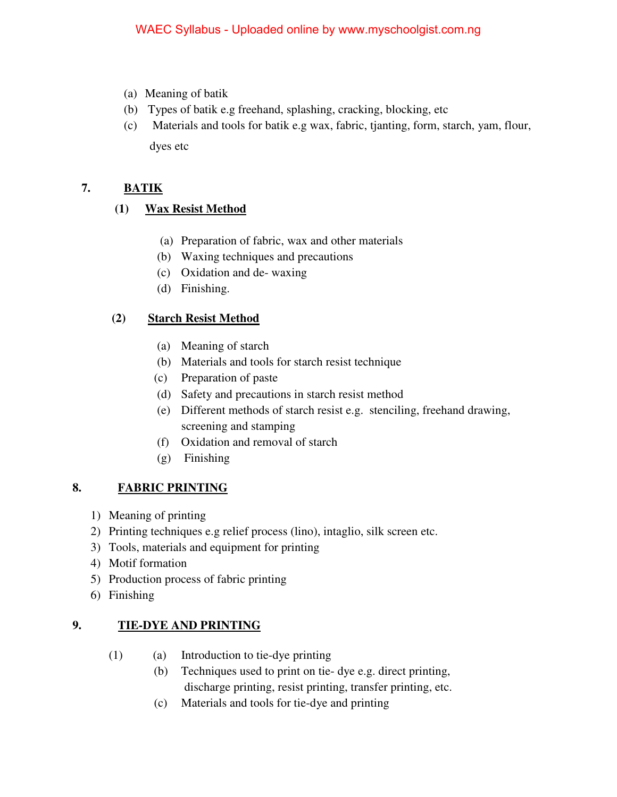- (a) Meaning of batik
- (b) Types of batik e.g freehand, splashing, cracking, blocking, etc
- (c) Materials and tools for batik e.g wax, fabric, tjanting, form, starch, yam, flour, dyes etc

# **7. BATIK**

# **(1) Wax Resist Method**

- (a) Preparation of fabric, wax and other materials
- (b) Waxing techniques and precautions
- (c) Oxidation and de- waxing
- (d) Finishing.

## **(2) Starch Resist Method**

- (a) Meaning of starch
- (b) Materials and tools for starch resist technique
- (c) Preparation of paste
- (d) Safety and precautions in starch resist method
- (e) Different methods of starch resist e.g. stenciling, freehand drawing, screening and stamping
- (f) Oxidation and removal of starch
- (g) Finishing

### **8. FABRIC PRINTING**

- 1) Meaning of printing
- 2) Printing techniques e.g relief process (lino), intaglio, silk screen etc.
- 3) Tools, materials and equipment for printing
- 4) Motif formation
- 5) Production process of fabric printing
- 6) Finishing

# **9. TIE-DYE AND PRINTING**

- (1) (a) Introduction to tie-dye printing
	- (b) Techniques used to print on tie- dye e.g. direct printing, discharge printing, resist printing, transfer printing, etc.
	- (c) Materials and tools for tie-dye and printing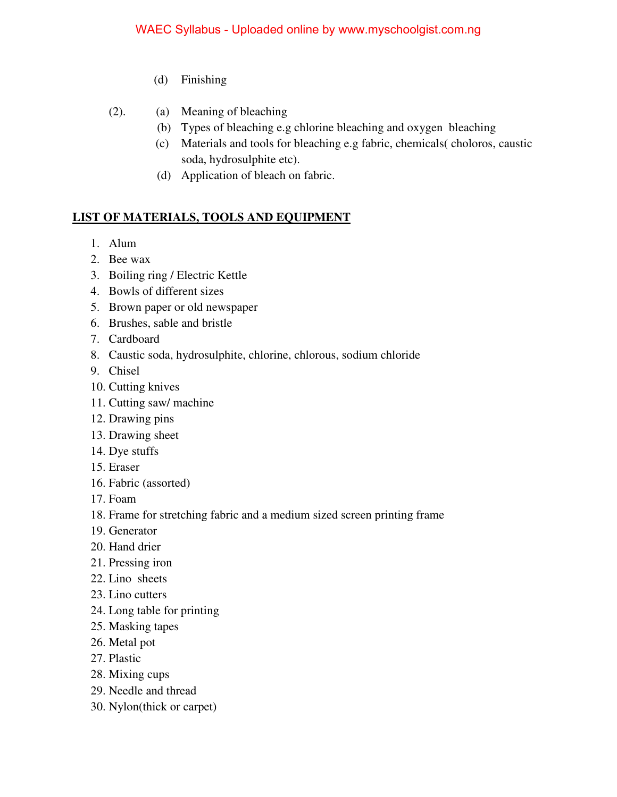- (d) Finishing
- (2). (a) Meaning of bleaching
	- (b) Types of bleaching e.g chlorine bleaching and oxygen bleaching
	- (c) Materials and tools for bleaching e.g fabric, chemicals( choloros, caustic soda, hydrosulphite etc).
	- (d) Application of bleach on fabric.

### **LIST OF MATERIALS, TOOLS AND EQUIPMENT**

- 1. Alum
- 2. Bee wax
- 3. Boiling ring / Electric Kettle
- 4. Bowls of different sizes
- 5. Brown paper or old newspaper
- 6. Brushes, sable and bristle
- 7. Cardboard
- 8. Caustic soda, hydrosulphite, chlorine, chlorous, sodium chloride
- 9. Chisel
- 10. Cutting knives
- 11. Cutting saw/ machine
- 12. Drawing pins
- 13. Drawing sheet
- 14. Dye stuffs
- 15. Eraser
- 16. Fabric (assorted)
- 17. Foam
- 18. Frame for stretching fabric and a medium sized screen printing frame
- 19. Generator
- 20. Hand drier
- 21. Pressing iron
- 22. Lino sheets
- 23. Lino cutters
- 24. Long table for printing
- 25. Masking tapes
- 26. Metal pot
- 27. Plastic
- 28. Mixing cups
- 29. Needle and thread
- 30. Nylon(thick or carpet)